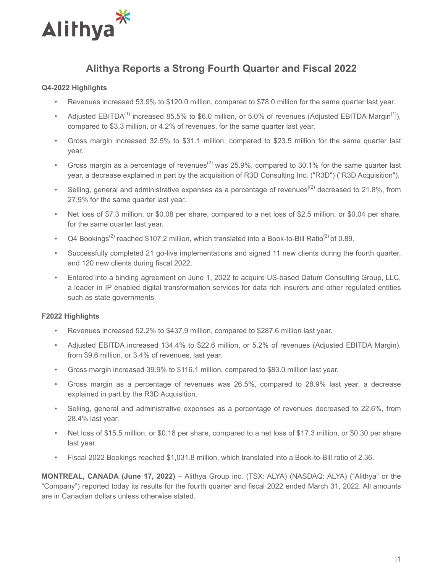

# **Alithya Reports a Strong Fourth Quarter and Fiscal 2022**

## **Q4-2022 Highlights**

- Revenues increased 53.9% to \$120.0 million, compared to \$78.0 million for the same quarter last year.
- Adjusted EBITDA<sup>(1)</sup> increased 85.5% to \$6.0 million, or 5.0% of revenues (Adjusted EBITDA Margin<sup>(1)</sup>), compared to \$3.3 million, or 4.2% of revenues, for the same quarter last year.
- Gross margin increased 32.5% to \$31.1 million, compared to \$23.5 million for the same quarter last year.
- Gross margin as a percentage of revenues<sup>(2)</sup> was 25.9%, compared to 30.1% for the same quarter last year, a decrease explained in part by the acquisition of R3D Consulting Inc. ("R3D") ("R3D Acquisition").
- Selling, general and administrative expenses as a percentage of revenues<sup>((2)</sup> decreased to 21.8%, from 27.9% for the same quarter last year.
- Net loss of \$7.3 million, or \$0.08 per share, compared to a net loss of \$2.5 million, or \$0.04 per share, for the same quarter last year.
- Q4 Bookings<sup>(2)</sup> reached \$107.2 million, which translated into a Book-to-Bill Ratio<sup>(2)</sup> of 0.89.
- Successfully completed 21 go-live implementations and signed 11 new clients during the fourth quarter, and 120 new clients during fiscal 2022.
- Entered into a binding agreement on June 1, 2022 to acquire US-based Datum Consulting Group, LLC, a leader in IP enabled digital transformation services for data rich insurers and other regulated entities such as state governments.

### **F2022 Highlights**

- Revenues increased 52.2% to \$437.9 million, compared to \$287.6 million last year.
- Adjusted EBITDA increased 134.4% to \$22.6 million, or 5.2% of revenues (Adjusted EBITDA Margin), from \$9.6 million, or 3.4% of revenues, last year.
- Gross margin increased 39.9% to \$116.1 million, compared to \$83.0 million last year.
- Gross margin as a percentage of revenues was 26.5%, compared to 28.9% last year, a decrease explained in part by the R3D Acquisition.
- Selling, general and administrative expenses as a percentage of revenues decreased to 22.6%, from 28.4% last year.
- Net loss of \$15.5 million, or \$0.18 per share, compared to a net loss of \$17.3 million, or \$0.30 per share last year.
- Fiscal 2022 Bookings reached \$1,031.8 million, which translated into a Book-to-Bill ratio of 2.36.

**MONTREAL, CANADA (June 17, 2022)** – Alithya Group inc. (TSX: ALYA) (NASDAQ: ALYA) ("Alithya" or the "Company") reported today its results for the fourth quarter and fiscal 2022 ended March 31, 2022. All amounts are in Canadian dollars unless otherwise stated.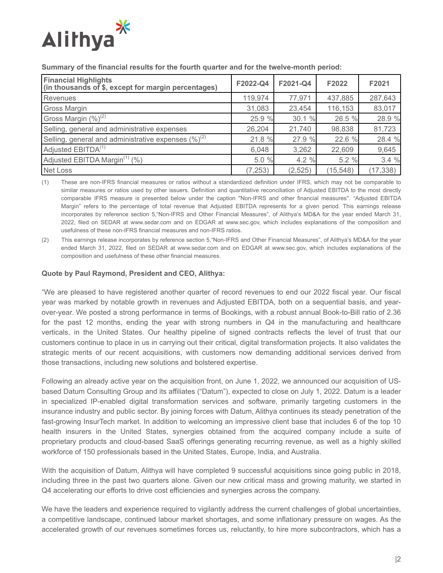

| <b>Financial Highlights</b><br>$\left  \right $ (in thousands of \$, except for margin percentages) | F2022-Q4 | F2021-Q4 | F2022     | F2021     |
|-----------------------------------------------------------------------------------------------------|----------|----------|-----------|-----------|
| Revenues                                                                                            | 119,974  | 77,971   | 437,885   | 287,643   |
| <b>Gross Margin</b>                                                                                 | 31,083   | 23,454   | 116,153   | 83,017    |
| Gross Margin $(\%)^{(2)}$                                                                           | 25.9 %   | 30.1 %   | 26.5 %    | 28.9 %    |
| Selling, general and administrative expenses                                                        | 26,204   | 21,740   | 98,838    | 81,723    |
| Selling, general and administrative expenses $(\%)^{(2)}$                                           | 21.8 %   | 27.9 %   | 22.6 %    | 28.4 %    |
| Adjusted EBITDA <sup>(1)</sup>                                                                      | 6,048    | 3,262    | 22,609    | 9,645     |
| Adjusted EBITDA Margin <sup>(1)</sup> (%)                                                           | 5.0 %    | 4.2%     | 5.2 %     | 3.4%      |
| <b>Net Loss</b>                                                                                     | (7, 253) | (2, 525) | (15, 548) | (17, 338) |

#### **Summary of the financial results for the fourth quarter and for the twelve-month period:**

(1) These are non-IFRS financial measures or ratios without a standardized definition under IFRS, which may not be comparable to similar measures or ratios used by other issuers. Definition and quantitative reconciliation of Adjusted EBITDA to the most directly comparable IFRS measure is presented below under the caption ''Non-IFRS and other financial measures''. "Adjusted EBITDA Margin" refers to the percentage of total revenue that Adjusted EBITDA represents for a given period. This earnings release incorporates by reference section 5,"Non-IFRS and Other Financial Measures", of Alithya's MD&A for the year ended March 31, 2022, filed on SEDAR at www.sedar.com and on EDGAR at www.sec.gov, which includes explanations of the composition and usefulness of these non-IFRS financial measures and non-IFRS ratios.

(2) This earnings release incorporates by reference section 5,"Non-IFRS and Other Financial Measures", of Alithya's MD&A for the year ended March 31, 2022, filed on SEDAR at www.sedar.com and on EDGAR at www.sec.gov, which includes explanations of the composition and usefulness of these other financial measures.

#### **Quote by Paul Raymond, President and CEO, Alithya:**

"We are pleased to have registered another quarter of record revenues to end our 2022 fiscal year. Our fiscal year was marked by notable growth in revenues and Adjusted EBITDA, both on a sequential basis, and yearover-year. We posted a strong performance in terms of Bookings, with a robust annual Book-to-Bill ratio of 2.36 for the past 12 months, ending the year with strong numbers in Q4 in the manufacturing and healthcare verticals, in the United States. Our healthy pipeline of signed contracts reflects the level of trust that our customers continue to place in us in carrying out their critical, digital transformation projects. It also validates the strategic merits of our recent acquisitions, with customers now demanding additional services derived from those transactions, including new solutions and bolstered expertise.

Following an already active year on the acquisition front, on June 1, 2022, we announced our acquisition of USbased Datum Consulting Group and its affiliates ("Datum"), expected to close on July 1, 2022. Datum is a leader in specialized IP-enabled digital transformation services and software, primarily targeting customers in the insurance industry and public sector. By joining forces with Datum, Alithya continues its steady penetration of the fast-growing InsurTech market. In addition to welcoming an impressive client base that includes 6 of the top 10 health insurers in the United States, synergies obtained from the acquired company include a suite of proprietary products and cloud-based SaaS offerings generating recurring revenue, as well as a highly skilled workforce of 150 professionals based in the United States, Europe, India, and Australia.

With the acquisition of Datum, Alithya will have completed 9 successful acquisitions since going public in 2018, including three in the past two quarters alone. Given our new critical mass and growing maturity, we started in Q4 accelerating our efforts to drive cost efficiencies and synergies across the company.

We have the leaders and experience required to vigilantly address the current challenges of global uncertainties, a competitive landscape, continued labour market shortages, and some inflationary pressure on wages. As the accelerated growth of our revenues sometimes forces us, reluctantly, to hire more subcontractors, which has a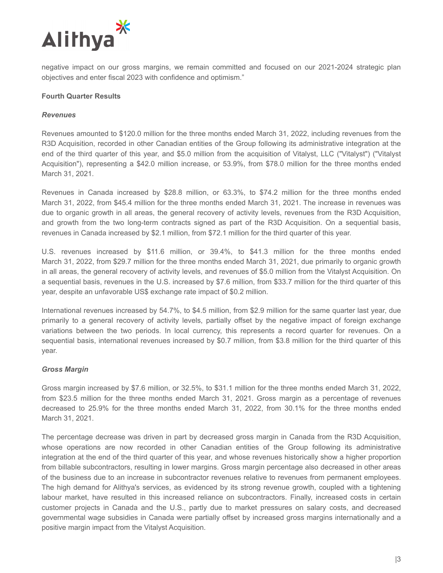

negative impact on our gross margins, we remain committed and focused on our 2021-2024 strategic plan objectives and enter fiscal 2023 with confidence and optimism."

#### **Fourth Quarter Results**

#### *Revenues*

Revenues amounted to \$120.0 million for the three months ended March 31, 2022, including revenues from the R3D Acquisition, recorded in other Canadian entities of the Group following its administrative integration at the end of the third quarter of this year, and \$5.0 million from the acquisition of Vitalyst, LLC ("Vitalyst") ("Vitalyst Acquisition"), representing a \$42.0 million increase, or 53.9%, from \$78.0 million for the three months ended March 31, 2021.

Revenues in Canada increased by \$28.8 million, or 63.3%, to \$74.2 million for the three months ended March 31, 2022, from \$45.4 million for the three months ended March 31, 2021. The increase in revenues was due to organic growth in all areas, the general recovery of activity levels, revenues from the R3D Acquisition, and growth from the two long-term contracts signed as part of the R3D Acquisition. On a sequential basis, revenues in Canada increased by \$2.1 million, from \$72.1 million for the third quarter of this year.

U.S. revenues increased by \$11.6 million, or 39.4%, to \$41.3 million for the three months ended March 31, 2022, from \$29.7 million for the three months ended March 31, 2021, due primarily to organic growth in all areas, the general recovery of activity levels, and revenues of \$5.0 million from the Vitalyst Acquisition. On a sequential basis, revenues in the U.S. increased by \$7.6 million, from \$33.7 million for the third quarter of this year, despite an unfavorable US\$ exchange rate impact of \$0.2 million.

International revenues increased by 54.7%, to \$4.5 million, from \$2.9 million for the same quarter last year, due primarily to a general recovery of activity levels, partially offset by the negative impact of foreign exchange variations between the two periods. In local currency, this represents a record quarter for revenues. On a sequential basis, international revenues increased by \$0.7 million, from \$3.8 million for the third quarter of this year.

### *Gross Margin*

Gross margin increased by \$7.6 million, or 32.5%, to \$31.1 million for the three months ended March 31, 2022, from \$23.5 million for the three months ended March 31, 2021. Gross margin as a percentage of revenues decreased to 25.9% for the three months ended March 31, 2022, from 30.1% for the three months ended March 31, 2021.

The percentage decrease was driven in part by decreased gross margin in Canada from the R3D Acquisition, whose operations are now recorded in other Canadian entities of the Group following its administrative integration at the end of the third quarter of this year, and whose revenues historically show a higher proportion from billable subcontractors, resulting in lower margins. Gross margin percentage also decreased in other areas of the business due to an increase in subcontractor revenues relative to revenues from permanent employees. The high demand for Alithya's services, as evidenced by its strong revenue growth, coupled with a tightening labour market, have resulted in this increased reliance on subcontractors. Finally, increased costs in certain customer projects in Canada and the U.S., partly due to market pressures on salary costs, and decreased governmental wage subsidies in Canada were partially offset by increased gross margins internationally and a positive margin impact from the Vitalyst Acquisition.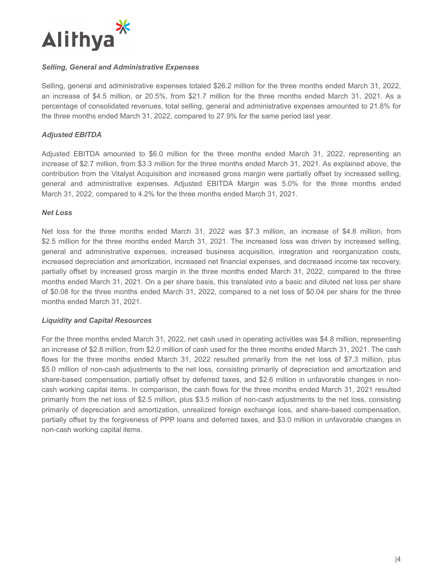

#### *Selling, General and Administrative Expenses*

Selling, general and administrative expenses totaled \$26.2 million for the three months ended March 31, 2022, an increase of \$4.5 million, or 20.5%, from \$21.7 million for the three months ended March 31, 2021. As a percentage of consolidated revenues, total selling, general and administrative expenses amounted to 21.8% for the three months ended March 31, 2022, compared to 27.9% for the same period last year.

### *Adjusted EBITDA*

Adjusted EBITDA amounted to \$6.0 million for the three months ended March 31, 2022, representing an increase of \$2.7 million, from \$3.3 million for the three months ended March 31, 2021. As explained above, the contribution from the Vitalyst Acquisition and increased gross margin were partially offset by increased selling, general and administrative expenses. Adjusted EBITDA Margin was 5.0% for the three months ended March 31, 2022, compared to 4.2% for the three months ended March 31, 2021.

#### *Net Loss*

Net loss for the three months ended March 31, 2022 was \$7.3 million, an increase of \$4.8 million, from \$2.5 million for the three months ended March 31, 2021. The increased loss was driven by increased selling, general and administrative expenses, increased business acquisition, integration and reorganization costs, increased depreciation and amortization, increased net financial expenses, and decreased income tax recovery, partially offset by increased gross margin in the three months ended March 31, 2022, compared to the three months ended March 31, 2021. On a per share basis, this translated into a basic and diluted net loss per share of \$0.08 for the three months ended March 31, 2022, compared to a net loss of \$0.04 per share for the three months ended March 31, 2021.

### *Liquidity and Capital Resources*

For the three months ended March 31, 2022, net cash used in operating activities was \$4.8 million, representing an increase of \$2.8 million, from \$2.0 million of cash used for the three months ended March 31, 2021. The cash flows for the three months ended March 31, 2022 resulted primarily from the net loss of \$7.3 million, plus \$5.0 million of non-cash adjustments to the net loss, consisting primarily of depreciation and amortization and share-based compensation, partially offset by deferred taxes, and \$2.6 million in unfavorable changes in noncash working capital items. In comparison, the cash flows for the three months ended March 31, 2021 resulted primarily from the net loss of \$2.5 million, plus \$3.5 million of non-cash adjustments to the net loss, consisting primarily of depreciation and amortization, unrealized foreign exchange loss, and share-based compensation, partially offset by the forgiveness of PPP loans and deferred taxes, and \$3.0 million in unfavorable changes in non-cash working capital items.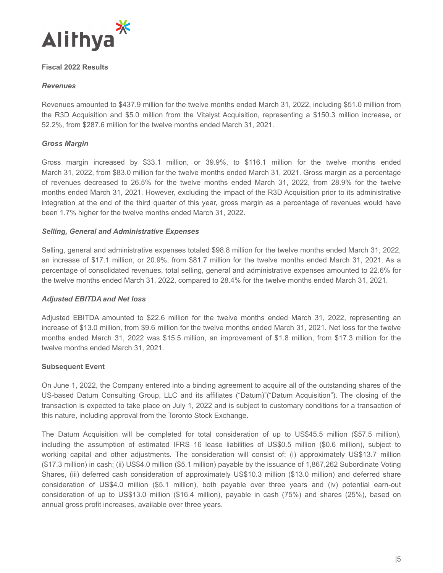

# **Fiscal 2022 Results**

## *Revenues*

Revenues amounted to \$437.9 million for the twelve months ended March 31, 2022, including \$51.0 million from the R3D Acquisition and \$5.0 million from the Vitalyst Acquisition, representing a \$150.3 million increase, or 52.2%, from \$287.6 million for the twelve months ended March 31, 2021.

# *Gross Margin*

Gross margin increased by \$33.1 million, or 39.9%, to \$116.1 million for the twelve months ended March 31, 2022, from \$83.0 million for the twelve months ended March 31, 2021. Gross margin as a percentage of revenues decreased to 26.5% for the twelve months ended March 31, 2022, from 28.9% for the twelve months ended March 31, 2021. However, excluding the impact of the R3D Acquisition prior to its administrative integration at the end of the third quarter of this year, gross margin as a percentage of revenues would have been 1.7% higher for the twelve months ended March 31, 2022.

# *Selling, General and Administrative Expenses*

Selling, general and administrative expenses totaled \$98.8 million for the twelve months ended March 31, 2022, an increase of \$17.1 million, or 20.9%, from \$81.7 million for the twelve months ended March 31, 2021. As a percentage of consolidated revenues, total selling, general and administrative expenses amounted to 22.6% for the twelve months ended March 31, 2022, compared to 28.4% for the twelve months ended March 31, 2021.

### *Adjusted EBITDA and Net loss*

Adjusted EBITDA amounted to \$22.6 million for the twelve months ended March 31, 2022, representing an increase of \$13.0 million, from \$9.6 million for the twelve months ended March 31, 2021. Net loss for the twelve months ended March 31, 2022 was \$15.5 million, an improvement of \$1.8 million, from \$17.3 million for the twelve months ended March 31, 2021.

### **Subsequent Event**

On June 1, 2022, the Company entered into a binding agreement to acquire all of the outstanding shares of the US-based Datum Consulting Group, LLC and its affiliates ("Datum)"("Datum Acquisition"). The closing of the transaction is expected to take place on July 1, 2022 and is subject to customary conditions for a transaction of this nature, including approval from the Toronto Stock Exchange.

The Datum Acquisition will be completed for total consideration of up to US\$45.5 million (\$57.5 million), including the assumption of estimated IFRS 16 lease liabilities of US\$0.5 million (\$0.6 million), subject to working capital and other adjustments. The consideration will consist of: (i) approximately US\$13.7 million (\$17.3 million) in cash; (ii) US\$4.0 million (\$5.1 million) payable by the issuance of 1,867,262 Subordinate Voting Shares, (iii) deferred cash consideration of approximately US\$10.3 million (\$13.0 million) and deferred share consideration of US\$4.0 million (\$5.1 million), both payable over three years and (iv) potential earn-out consideration of up to US\$13.0 million (\$16.4 million), payable in cash (75%) and shares (25%), based on annual gross profit increases, available over three years.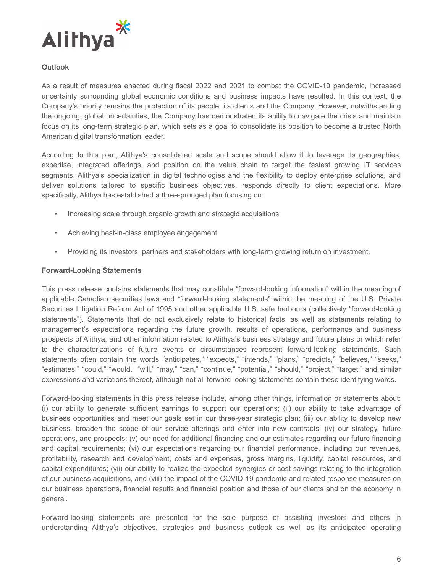

# **Outlook**

As a result of measures enacted during fiscal 2022 and 2021 to combat the COVID-19 pandemic, increased uncertainty surrounding global economic conditions and business impacts have resulted. In this context, the Company's priority remains the protection of its people, its clients and the Company. However, notwithstanding the ongoing, global uncertainties, the Company has demonstrated its ability to navigate the crisis and maintain focus on its long-term strategic plan, which sets as a goal to consolidate its position to become a trusted North American digital transformation leader.

According to this plan, Alithya's consolidated scale and scope should allow it to leverage its geographies, expertise, integrated offerings, and position on the value chain to target the fastest growing IT services segments. Alithya's specialization in digital technologies and the flexibility to deploy enterprise solutions, and deliver solutions tailored to specific business objectives, responds directly to client expectations. More specifically, Alithya has established a three-pronged plan focusing on:

- Increasing scale through organic growth and strategic acquisitions
- Achieving best-in-class employee engagement
- Providing its investors, partners and stakeholders with long-term growing return on investment.

#### **Forward-Looking Statements**

This press release contains statements that may constitute "forward-looking information" within the meaning of applicable Canadian securities laws and "forward-looking statements" within the meaning of the U.S. Private Securities Litigation Reform Act of 1995 and other applicable U.S. safe harbours (collectively "forward-looking statements"). Statements that do not exclusively relate to historical facts, as well as statements relating to management's expectations regarding the future growth, results of operations, performance and business prospects of Alithya, and other information related to Alithya's business strategy and future plans or which refer to the characterizations of future events or circumstances represent forward-looking statements. Such statements often contain the words "anticipates," "expects," "intends," "plans," "predicts," "believes," "seeks," "estimates," "could," "would," "will," "may," "can," "continue," "potential," "should," "project," "target," and similar expressions and variations thereof, although not all forward-looking statements contain these identifying words.

Forward-looking statements in this press release include, among other things, information or statements about: (i) our ability to generate sufficient earnings to support our operations; (ii) our ability to take advantage of business opportunities and meet our goals set in our three-year strategic plan; (iii) our ability to develop new business, broaden the scope of our service offerings and enter into new contracts; (iv) our strategy, future operations, and prospects; (v) our need for additional financing and our estimates regarding our future financing and capital requirements; (vi) our expectations regarding our financial performance, including our revenues, profitability, research and development, costs and expenses, gross margins, liquidity, capital resources, and capital expenditures; (vii) our ability to realize the expected synergies or cost savings relating to the integration of our business acquisitions, and (viii) the impact of the COVID-19 pandemic and related response measures on our business operations, financial results and financial position and those of our clients and on the economy in general.

Forward-looking statements are presented for the sole purpose of assisting investors and others in understanding Alithya's objectives, strategies and business outlook as well as its anticipated operating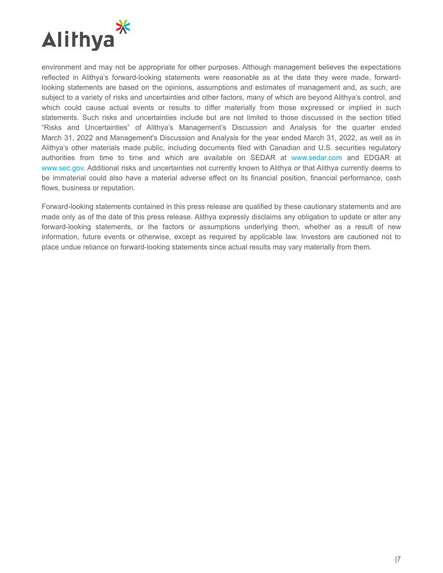

environment and may not be appropriate for other purposes. Although management believes the expectations reflected in Alithya's forward-looking statements were reasonable as at the date they were made, forwardlooking statements are based on the opinions, assumptions and estimates of management and, as such, are subject to a variety of risks and uncertainties and other factors, many of which are beyond Alithya's control, and which could cause actual events or results to differ materially from those expressed or implied in such statements. Such risks and uncertainties include but are not limited to those discussed in the section titled "Risks and Uncertainties" of Alithya's Management's Discussion and Analysis for the quarter ended March 31, 2022 and Management's Discussion and Analysis for the year ended March 31, 2022, as well as in Alithya's other materials made public, including documents filed with Canadian and U.S. securities regulatory authorities from time to time and which are available on SEDAR at www.sedar.com and EDGAR at www.sec.gov. Additional risks and uncertainties not currently known to Alithya or that Alithya currently deems to be immaterial could also have a material adverse effect on its financial position, financial performance, cash flows, business or reputation.

Forward-looking statements contained in this press release are qualified by these cautionary statements and are made only as of the date of this press release. Alithya expressly disclaims any obligation to update or alter any forward-looking statements, or the factors or assumptions underlying them, whether as a result of new information, future events or otherwise, except as required by applicable law. Investors are cautioned not to place undue reliance on forward-looking statements since actual results may vary materially from them.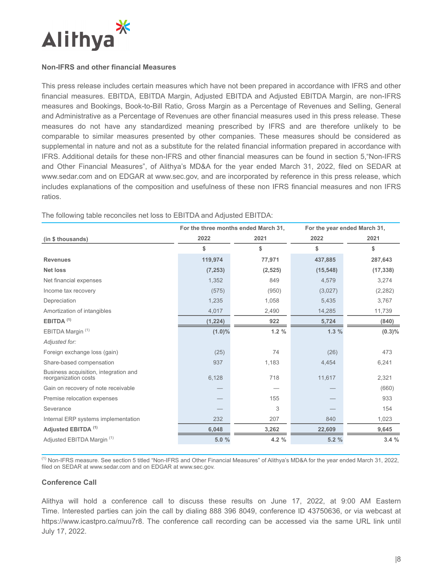

#### **Non-IFRS and other financial Measures**

This press release includes certain measures which have not been prepared in accordance with IFRS and other financial measures. EBITDA, EBITDA Margin, Adjusted EBITDA and Adjusted EBITDA Margin, are non-IFRS measures and Bookings, Book-to-Bill Ratio, Gross Margin as a Percentage of Revenues and Selling, General and Administrative as a Percentage of Revenues are other financial measures used in this press release. These measures do not have any standardized meaning prescribed by IFRS and are therefore unlikely to be comparable to similar measures presented by other companies. These measures should be considered as supplemental in nature and not as a substitute for the related financial information prepared in accordance with IFRS. Additional details for these non-IFRS and other financial measures can be found in section 5,"Non-IFRS and Other Financial Measures", of Alithya's MD&A for the year ended March 31, 2022, filed on SEDAR at www.sedar.com and on EDGAR at www.sec.gov, and are incorporated by reference in this press release, which includes explanations of the composition and usefulness of these non IFRS financial measures and non IFRS ratios.

|                                                               | For the three months ended March 31, |          | For the year ended March 31, |           |
|---------------------------------------------------------------|--------------------------------------|----------|------------------------------|-----------|
| (in \$ thousands)                                             | 2022                                 | 2021     | 2022                         | 2021      |
|                                                               | \$                                   | \$       | \$                           | \$        |
| <b>Revenues</b>                                               | 119,974                              | 77,971   | 437,885                      | 287,643   |
| <b>Net loss</b>                                               | (7, 253)                             | (2, 525) | (15, 548)                    | (17, 338) |
| Net financial expenses                                        | 1,352                                | 849      | 4,579                        | 3,274     |
| Income tax recovery                                           | (575)                                | (950)    | (3,027)                      | (2, 282)  |
| Depreciation                                                  | 1,235                                | 1,058    | 5,435                        | 3,767     |
| Amortization of intangibles                                   | 4,017                                | 2,490    | 14,285                       | 11,739    |
| EBITDA <sup>(1)</sup>                                         | (1, 224)                             | 922      | 5,724                        | (840)     |
| EBITDA Margin <sup>(1)</sup>                                  | $(1.0)\%$                            | 1.2%     | 1.3%                         | $(0.3)\%$ |
| Adjusted for:                                                 |                                      |          |                              |           |
| Foreign exchange loss (gain)                                  | (25)                                 | 74       | (26)                         | 473       |
| Share-based compensation                                      | 937                                  | 1,183    | 4,454                        | 6,241     |
| Business acquisition, integration and<br>reorganization costs | 6,128                                | 718      | 11,617                       | 2,321     |
| Gain on recovery of note receivable                           |                                      |          |                              | (660)     |
| Premise relocation expenses                                   |                                      | 155      |                              | 933       |
| Severance                                                     |                                      | 3        |                              | 154       |
| Internal ERP systems implementation                           | 232                                  | 207      | 840                          | 1,023     |
| Adjusted EBITDA <sup>(1)</sup>                                | 6,048                                | 3,262    | 22,609                       | 9,645     |
| Adjusted EBITDA Margin (1)                                    | 5.0%                                 | 4.2 %    | 5.2%                         | 3.4%      |

The following table reconciles net loss to EBITDA and Adjusted EBITDA:

(1) Non-IFRS measure. See section 5 titled "Non-IFRS and Other Financial Measures" of Alithya's MD&A for the year ended March 31, 2022, filed on SEDAR at www.sedar.com and on EDGAR at www.sec.gov.

#### **Conference Call**

Alithya will hold a conference call to discuss these results on June 17, 2022, at 9:00 AM Eastern Time. Interested parties can join the call by dialing 888 396 8049, conference ID 43750636, or via webcast at https://www.icastpro.ca/muu7r8. The conference call recording can be accessed via the same URL link until July 17, 2022.